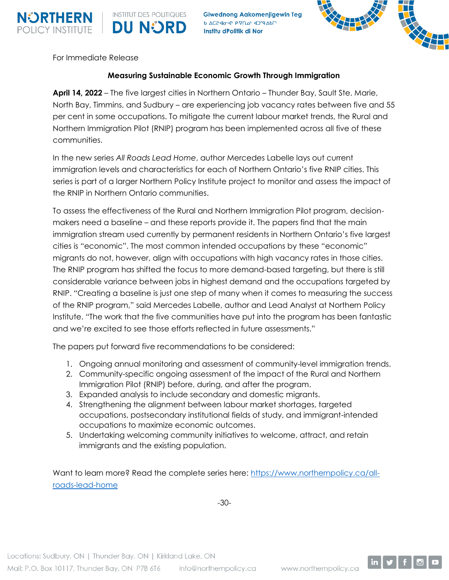

**Giwednong Aakomenjigewin Teg DU NORD** A AC2-40-41 P-VOD 4009-AD Institu dPolitik di Nor



For Immediate Release

**INSTITUT DES POLITIQUES** 

## **Measuring Sustainable Economic Growth Through Immigration**

**April 14, 2022** – The five largest cities in Northern Ontario – Thunder Bay, Sault Ste. Marie, North Bay, Timmins, and Sudbury – are experiencing job vacancy rates between five and 55 per cent in some occupations. To mitigate the current labour market trends, the Rural and Northern Immigration Pilot (RNIP) program has been implemented across all five of these communities.

In the new series *All Roads Lead Home*, author Mercedes Labelle lays out current immigration levels and characteristics for each of Northern Ontario's five RNIP cities. This series is part of a larger Northern Policy Institute project to monitor and assess the impact of the RNIP in Northern Ontario communities.

To assess the effectiveness of the Rural and Northern Immigration Pilot program, decisionmakers need a baseline – and these reports provide it. The papers find that the main immigration stream used currently by permanent residents in Northern Ontario's five largest cities is "economic". The most common intended occupations by these "economic" migrants do not, however, align with occupations with high vacancy rates in those cities. The RNIP program has shifted the focus to more demand-based targeting, but there is still considerable variance between jobs in highest demand and the occupations targeted by RNIP. "Creating a baseline is just one step of many when it comes to measuring the success of the RNIP program," said Mercedes Labelle, author and Lead Analyst at Northern Policy Institute. "The work that the five communities have put into the program has been fantastic and we're excited to see those efforts reflected in future assessments."

The papers put forward five recommendations to be considered:

- 1. Ongoing annual monitoring and assessment of community-level immigration trends.
- 2. Community-specific ongoing assessment of the impact of the Rural and Northern Immigration Pilot (RNIP) before, during, and after the program.
- 3. Expanded analysis to include secondary and domestic migrants.
- 4. Strengthening the alignment between labour market shortages, targeted occupations, postsecondary institutional fields of study, and immigrant-intended occupations to maximize economic outcomes.
- 5. Undertaking welcoming community initiatives to welcome, attract, and retain immigrants and the existing population.

Want to learn more? Read the complete series here: [https://www.northernpolicy.ca/all](https://www.northernpolicy.ca/all-roads-lead-home)[roads-lead-home](https://www.northernpolicy.ca/all-roads-lead-home)

-30-

Locations: Sudbury, ON | Thunder Bay, ON | Kirkland Lake, ON Mail: P.O. Box 10117, Thunder Bay, ON P7B 6T6 info@northernpolicy.ca www.northernpolicy.ca